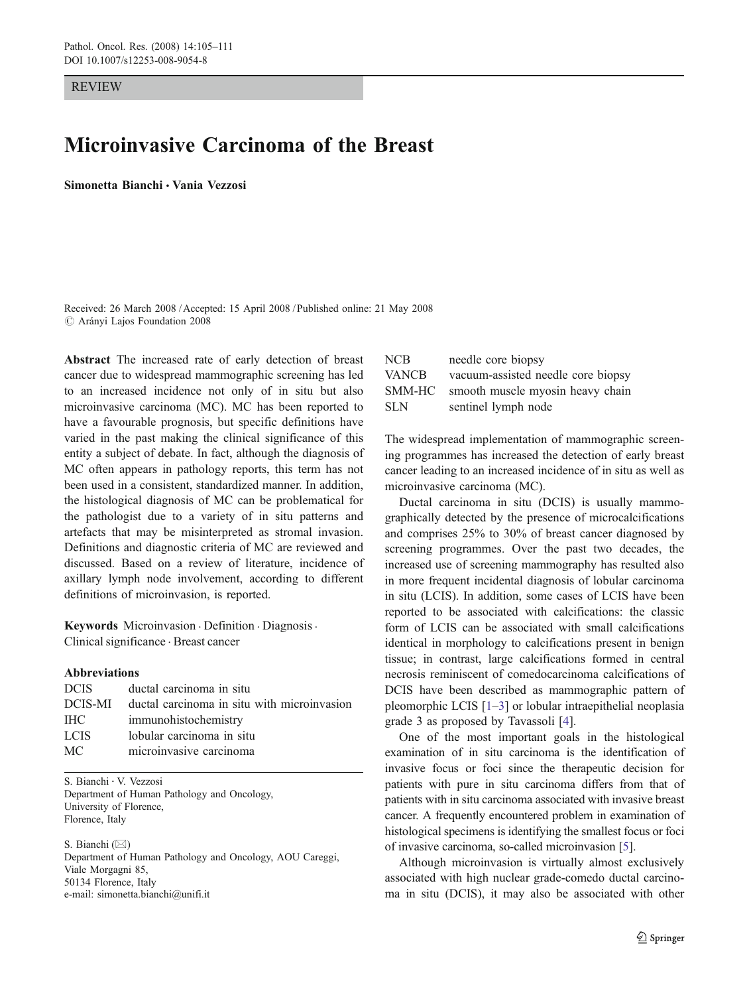REVIEW

# Microinvasive Carcinoma of the Breast

Simonetta Bianchi *&* Vania Vezzosi

Received: 26 March 2008 /Accepted: 15 April 2008 / Published online: 21 May 2008  $\oslash$  Arányi Lajos Foundation 2008

Abstract The increased rate of early detection of breast cancer due to widespread mammographic screening has led to an increased incidence not only of in situ but also microinvasive carcinoma (MC). MC has been reported to have a favourable prognosis, but specific definitions have varied in the past making the clinical significance of this entity a subject of debate. In fact, although the diagnosis of MC often appears in pathology reports, this term has not been used in a consistent, standardized manner. In addition, the histological diagnosis of MC can be problematical for the pathologist due to a variety of in situ patterns and artefacts that may be misinterpreted as stromal invasion. Definitions and diagnostic criteria of MC are reviewed and discussed. Based on a review of literature, incidence of axillary lymph node involvement, according to different definitions of microinvasion, is reported.

Keywords Microinvasion . Definition . Diagnosis. Clinical significance . Breast cancer

### Abbreviations

| <b>DCIS</b> | ductal carcinoma in situ                    |
|-------------|---------------------------------------------|
| DCIS-MI     | ductal carcinoma in situ with microinvasion |
| <b>THC</b>  | immunohistochemistry                        |
| <b>LCIS</b> | lobular carcinoma in situ                   |
| MC.         | microinvasive carcinoma                     |

S. Bianchi *:* V. Vezzosi Department of Human Pathology and Oncology, University of Florence, Florence, Italy

S. Bianchi (*\**) Department of Human Pathology and Oncology, AOU Careggi, Viale Morgagni 85, 50134 Florence, Italy e-mail: simonetta.bianchi@unifi.it

| NCB.         | needle core biopsy                 |
|--------------|------------------------------------|
| <b>VANCB</b> | vacuum-assisted needle core biopsy |
| SMM-HC       | smooth muscle myosin heavy chain   |
| SLN          | sentinel lymph node                |

The widespread implementation of mammographic screening programmes has increased the detection of early breast cancer leading to an increased incidence of in situ as well as microinvasive carcinoma (MC).

Ductal carcinoma in situ (DCIS) is usually mammographically detected by the presence of microcalcifications and comprises 25% to 30% of breast cancer diagnosed by screening programmes. Over the past two decades, the increased use of screening mammography has resulted also in more frequent incidental diagnosis of lobular carcinoma in situ (LCIS). In addition, some cases of LCIS have been reported to be associated with calcifications: the classic form of LCIS can be associated with small calcifications identical in morphology to calcifications present in benign tissue; in contrast, large calcifications formed in central necrosis reminiscent of comedocarcinoma calcifications of DCIS have been described as mammographic pattern of pleomorphic LCIS [[1](#page-5-0)–[3](#page-5-0)] or lobular intraepithelial neoplasia grade 3 as proposed by Tavassoli [[4\]](#page-5-0).

One of the most important goals in the histological examination of in situ carcinoma is the identification of invasive focus or foci since the therapeutic decision for patients with pure in situ carcinoma differs from that of patients with in situ carcinoma associated with invasive breast cancer. A frequently encountered problem in examination of histological specimens is identifying the smallest focus or foci of invasive carcinoma, so-called microinvasion [\[5](#page-5-0)].

Although microinvasion is virtually almost exclusively associated with high nuclear grade-comedo ductal carcinoma in situ (DCIS), it may also be associated with other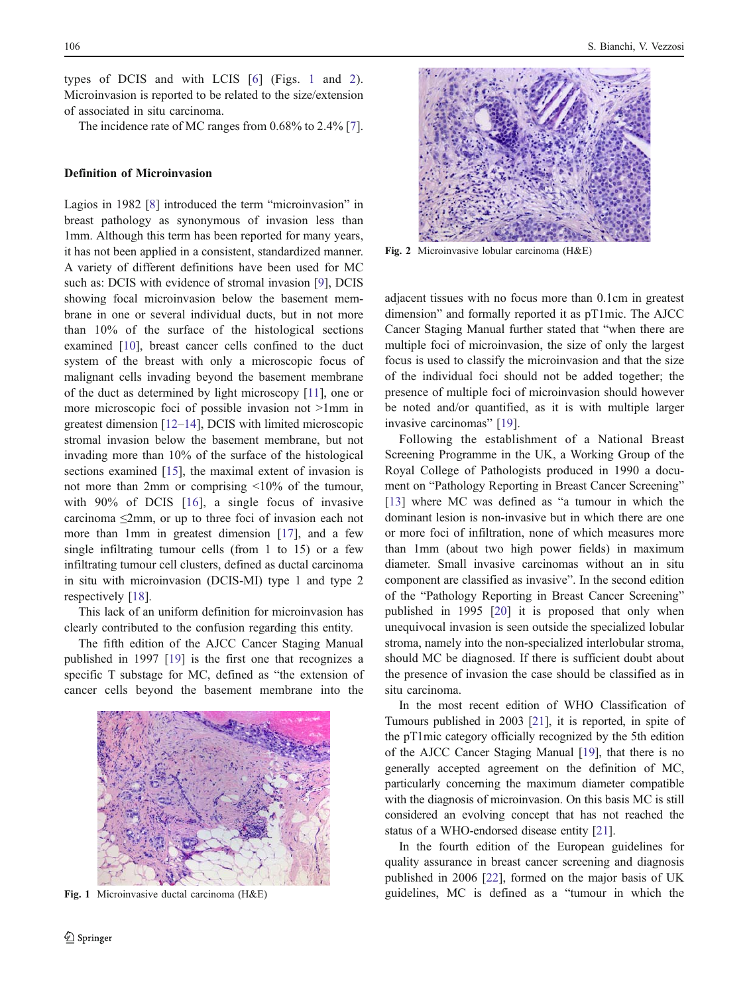types of DCIS and with LCIS [[6\]](#page-5-0) (Figs. 1 and 2). Microinvasion is reported to be related to the size/extension of associated in situ carcinoma.

The incidence rate of MC ranges from 0.68% to 2.4% [\[7](#page-5-0)].

## Definition of Microinvasion

Lagios in 1982 [[8\]](#page-5-0) introduced the term "microinvasion" in breast pathology as synonymous of invasion less than 1mm. Although this term has been reported for many years, it has not been applied in a consistent, standardized manner. A variety of different definitions have been used for MC such as: DCIS with evidence of stromal invasion [[9\]](#page-5-0), DCIS showing focal microinvasion below the basement membrane in one or several individual ducts, but in not more than 10% of the surface of the histological sections examined [[10\]](#page-5-0), breast cancer cells confined to the duct system of the breast with only a microscopic focus of malignant cells invading beyond the basement membrane of the duct as determined by light microscopy [[11](#page-5-0)], one or more microscopic foci of possible invasion not >1mm in greatest dimension [\[12](#page-5-0)–[14](#page-5-0)], DCIS with limited microscopic stromal invasion below the basement membrane, but not invading more than 10% of the surface of the histological sections examined [[15\]](#page-5-0), the maximal extent of invasion is not more than 2mm or comprising <10% of the tumour, with 90% of DCIS [[16](#page-5-0)], a single focus of invasive carcinoma ≤2mm, or up to three foci of invasion each not more than 1mm in greatest dimension [[17\]](#page-5-0), and a few single infiltrating tumour cells (from 1 to 15) or a few infiltrating tumour cell clusters, defined as ductal carcinoma in situ with microinvasion (DCIS-MI) type 1 and type 2 respectively [\[18](#page-5-0)].

This lack of an uniform definition for microinvasion has clearly contributed to the confusion regarding this entity.

The fifth edition of the AJCC Cancer Staging Manual published in 1997 [\[19](#page-5-0)] is the first one that recognizes a specific T substage for MC, defined as "the extension of cancer cells beyond the basement membrane into the





Fig. 2 Microinvasive lobular carcinoma (H&E)

adjacent tissues with no focus more than 0.1cm in greatest dimension" and formally reported it as pT1mic. The AJCC Cancer Staging Manual further stated that "when there are multiple foci of microinvasion, the size of only the largest focus is used to classify the microinvasion and that the size of the individual foci should not be added together; the presence of multiple foci of microinvasion should however be noted and/or quantified, as it is with multiple larger invasive carcinomas" [\[19](#page-5-0)].

Following the establishment of a National Breast Screening Programme in the UK, a Working Group of the Royal College of Pathologists produced in 1990 a document on "Pathology Reporting in Breast Cancer Screening" [\[13](#page-5-0)] where MC was defined as "a tumour in which the dominant lesion is non-invasive but in which there are one or more foci of infiltration, none of which measures more than 1mm (about two high power fields) in maximum diameter. Small invasive carcinomas without an in situ component are classified as invasive". In the second edition of the "Pathology Reporting in Breast Cancer Screening" published in 1995 [\[20](#page-5-0)] it is proposed that only when unequivocal invasion is seen outside the specialized lobular stroma, namely into the non-specialized interlobular stroma, should MC be diagnosed. If there is sufficient doubt about the presence of invasion the case should be classified as in situ carcinoma.

In the most recent edition of WHO Classification of Tumours published in 2003 [\[21](#page-5-0)], it is reported, in spite of the pT1mic category officially recognized by the 5th edition of the AJCC Cancer Staging Manual [\[19](#page-5-0)], that there is no generally accepted agreement on the definition of MC, particularly concerning the maximum diameter compatible with the diagnosis of microinvasion. On this basis MC is still considered an evolving concept that has not reached the status of a WHO-endorsed disease entity [\[21](#page-5-0)].

In the fourth edition of the European guidelines for quality assurance in breast cancer screening and diagnosis published in 2006 [[22\]](#page-5-0), formed on the major basis of UK Fig. 1 Microinvasive ductal carcinoma (H&E) guidelines, MC is defined as a "tumour in which the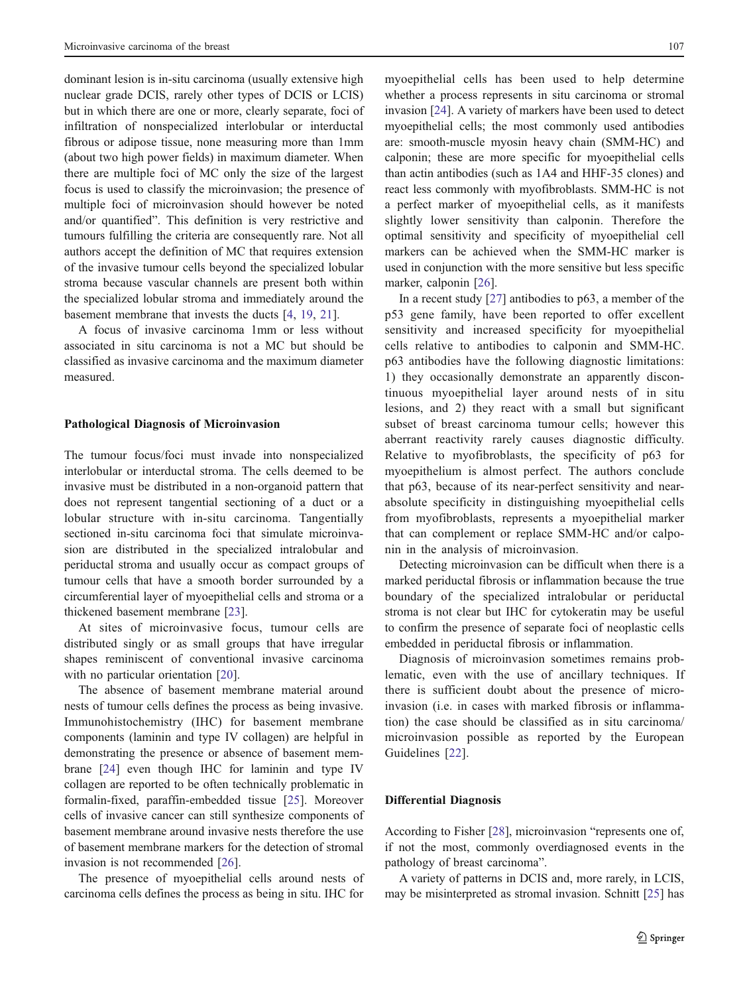dominant lesion is in-situ carcinoma (usually extensive high nuclear grade DCIS, rarely other types of DCIS or LCIS) but in which there are one or more, clearly separate, foci of infiltration of nonspecialized interlobular or interductal fibrous or adipose tissue, none measuring more than 1mm (about two high power fields) in maximum diameter. When there are multiple foci of MC only the size of the largest focus is used to classify the microinvasion; the presence of multiple foci of microinvasion should however be noted and/or quantified". This definition is very restrictive and tumours fulfilling the criteria are consequently rare. Not all authors accept the definition of MC that requires extension of the invasive tumour cells beyond the specialized lobular stroma because vascular channels are present both within the specialized lobular stroma and immediately around the basement membrane that invests the ducts [\[4](#page-5-0), [19,](#page-5-0) [21\]](#page-5-0).

A focus of invasive carcinoma 1mm or less without associated in situ carcinoma is not a MC but should be classified as invasive carcinoma and the maximum diameter measured.

## Pathological Diagnosis of Microinvasion

The tumour focus/foci must invade into nonspecialized interlobular or interductal stroma. The cells deemed to be invasive must be distributed in a non-organoid pattern that does not represent tangential sectioning of a duct or a lobular structure with in-situ carcinoma. Tangentially sectioned in-situ carcinoma foci that simulate microinvasion are distributed in the specialized intralobular and periductal stroma and usually occur as compact groups of tumour cells that have a smooth border surrounded by a circumferential layer of myoepithelial cells and stroma or a thickened basement membrane [[23\]](#page-5-0).

At sites of microinvasive focus, tumour cells are distributed singly or as small groups that have irregular shapes reminiscent of conventional invasive carcinoma with no particular orientation [\[20](#page-5-0)].

The absence of basement membrane material around nests of tumour cells defines the process as being invasive. Immunohistochemistry (IHC) for basement membrane components (laminin and type IV collagen) are helpful in demonstrating the presence or absence of basement membrane [\[24](#page-5-0)] even though IHC for laminin and type IV collagen are reported to be often technically problematic in formalin-fixed, paraffin-embedded tissue [[25\]](#page-5-0). Moreover cells of invasive cancer can still synthesize components of basement membrane around invasive nests therefore the use of basement membrane markers for the detection of stromal invasion is not recommended [\[26](#page-5-0)].

The presence of myoepithelial cells around nests of carcinoma cells defines the process as being in situ. IHC for

myoepithelial cells has been used to help determine whether a process represents in situ carcinoma or stromal invasion [\[24](#page-5-0)]. A variety of markers have been used to detect myoepithelial cells; the most commonly used antibodies are: smooth-muscle myosin heavy chain (SMM-HC) and calponin; these are more specific for myoepithelial cells than actin antibodies (such as 1A4 and HHF-35 clones) and react less commonly with myofibroblasts. SMM-HC is not a perfect marker of myoepithelial cells, as it manifests slightly lower sensitivity than calponin. Therefore the optimal sensitivity and specificity of myoepithelial cell markers can be achieved when the SMM-HC marker is used in conjunction with the more sensitive but less specific marker, calponin [\[26](#page-5-0)].

In a recent study [[27\]](#page-5-0) antibodies to p63, a member of the p53 gene family, have been reported to offer excellent sensitivity and increased specificity for myoepithelial cells relative to antibodies to calponin and SMM-HC. p63 antibodies have the following diagnostic limitations: 1) they occasionally demonstrate an apparently discontinuous myoepithelial layer around nests of in situ lesions, and 2) they react with a small but significant subset of breast carcinoma tumour cells; however this aberrant reactivity rarely causes diagnostic difficulty. Relative to myofibroblasts, the specificity of p63 for myoepithelium is almost perfect. The authors conclude that p63, because of its near-perfect sensitivity and nearabsolute specificity in distinguishing myoepithelial cells from myofibroblasts, represents a myoepithelial marker that can complement or replace SMM-HC and/or calponin in the analysis of microinvasion.

Detecting microinvasion can be difficult when there is a marked periductal fibrosis or inflammation because the true boundary of the specialized intralobular or periductal stroma is not clear but IHC for cytokeratin may be useful to confirm the presence of separate foci of neoplastic cells embedded in periductal fibrosis or inflammation.

Diagnosis of microinvasion sometimes remains problematic, even with the use of ancillary techniques. If there is sufficient doubt about the presence of microinvasion (i.e. in cases with marked fibrosis or inflammation) the case should be classified as in situ carcinoma/ microinvasion possible as reported by the European Guidelines [\[22](#page-5-0)].

### Differential Diagnosis

According to Fisher [[28\]](#page-5-0), microinvasion "represents one of, if not the most, commonly overdiagnosed events in the pathology of breast carcinoma".

A variety of patterns in DCIS and, more rarely, in LCIS, may be misinterpreted as stromal invasion. Schnitt [[25\]](#page-5-0) has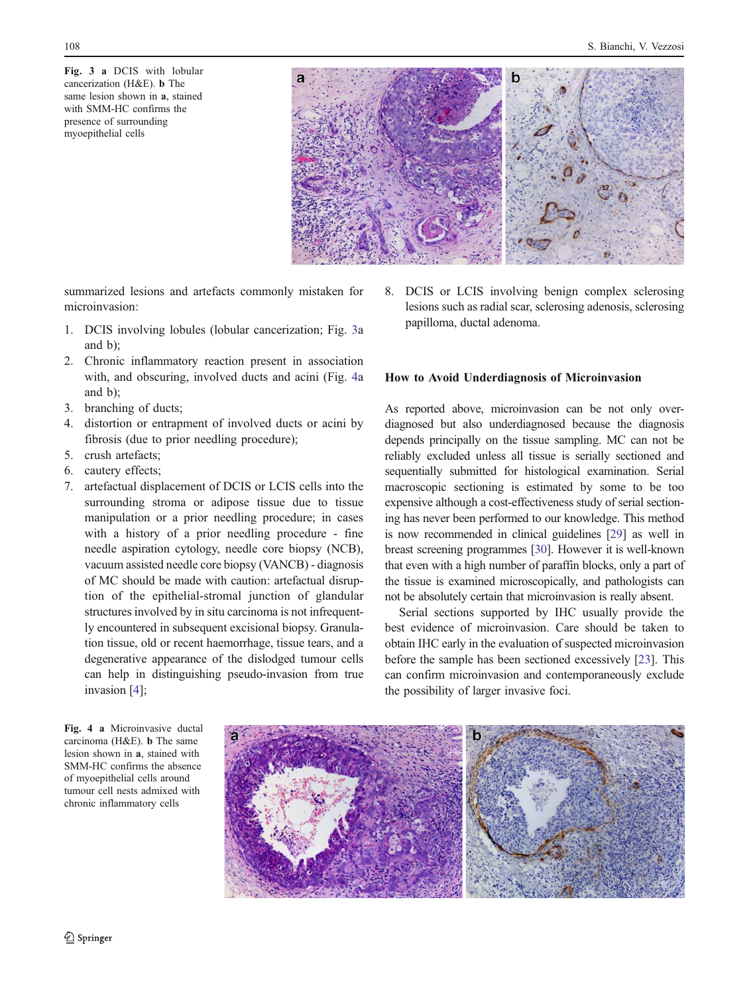Fig. 3 a DCIS with lobular cancerization (H&E). b The same lesion shown in a, stained with SMM-HC confirms the presence of surrounding myoepithelial cells



summarized lesions and artefacts commonly mistaken for microinvasion:

- 1. DCIS involving lobules (lobular cancerization; Fig. 3a and b);
- 2. Chronic inflammatory reaction present in association with, and obscuring, involved ducts and acini (Fig. 4a and b);
- 3. branching of ducts;
- 4. distortion or entrapment of involved ducts or acini by fibrosis (due to prior needling procedure);
- 5. crush artefacts;
- 6. cautery effects;
- 7. artefactual displacement of DCIS or LCIS cells into the surrounding stroma or adipose tissue due to tissue manipulation or a prior needling procedure; in cases with a history of a prior needling procedure - fine needle aspiration cytology, needle core biopsy (NCB), vacuum assisted needle core biopsy (VANCB) - diagnosis of MC should be made with caution: artefactual disruption of the epithelial-stromal junction of glandular structures involved by in situ carcinoma is not infrequently encountered in subsequent excisional biopsy. Granulation tissue, old or recent haemorrhage, tissue tears, and a degenerative appearance of the dislodged tumour cells can help in distinguishing pseudo-invasion from true invasion [\[4\]](#page-5-0);

8. DCIS or LCIS involving benign complex sclerosing lesions such as radial scar, sclerosing adenosis, sclerosing papilloma, ductal adenoma.

## How to Avoid Underdiagnosis of Microinvasion

As reported above, microinvasion can be not only overdiagnosed but also underdiagnosed because the diagnosis depends principally on the tissue sampling. MC can not be reliably excluded unless all tissue is serially sectioned and sequentially submitted for histological examination. Serial macroscopic sectioning is estimated by some to be too expensive although a cost-effectiveness study of serial sectioning has never been performed to our knowledge. This method is now recommended in clinical guidelines [\[29](#page-5-0)] as well in breast screening programmes [\[30](#page-5-0)]. However it is well-known that even with a high number of paraffin blocks, only a part of the tissue is examined microscopically, and pathologists can not be absolutely certain that microinvasion is really absent.

Serial sections supported by IHC usually provide the best evidence of microinvasion. Care should be taken to obtain IHC early in the evaluation of suspected microinvasion before the sample has been sectioned excessively [[23\]](#page-5-0). This can confirm microinvasion and contemporaneously exclude the possibility of larger invasive foci.

Fig. 4 a Microinvasive ductal carcinoma (H&E). b The same lesion shown in a, stained with SMM-HC confirms the absence of myoepithelial cells around tumour cell nests admixed with chronic inflammatory cells

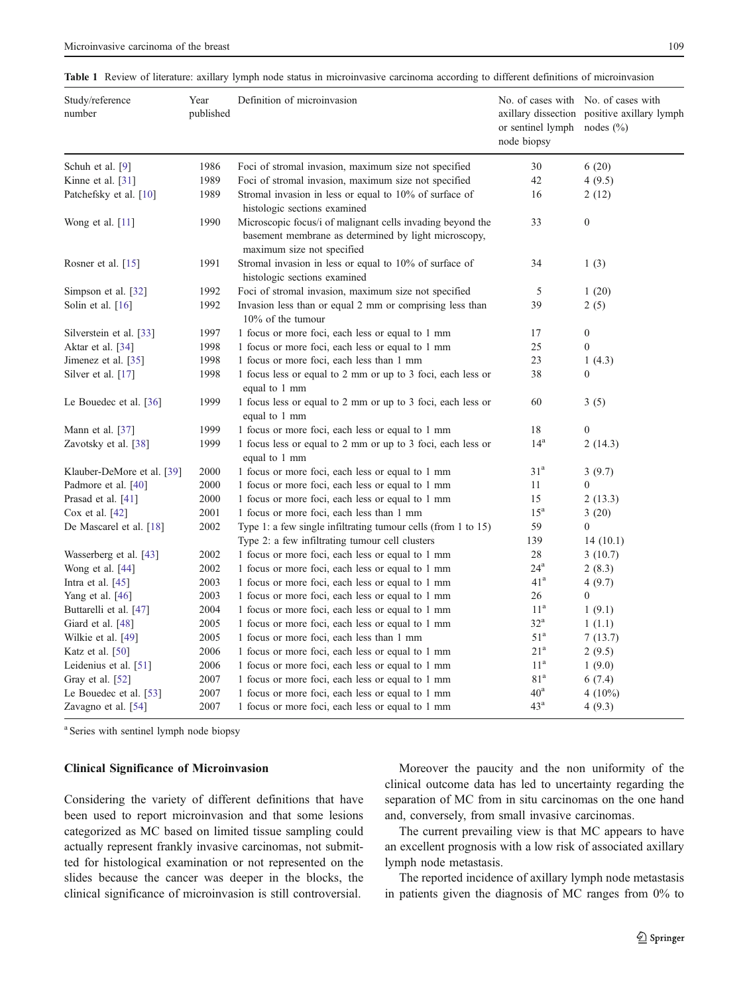<span id="page-4-0"></span>Table 1 Review of literature: axillary lymph node status in microinvasive carcinoma according to different definitions of microinvasion

| Study/reference<br>number  | Year<br>published | Definition of microinvasion                                                                                                                      | or sentinel lymph nodes $(\%)$<br>node biopsy | No. of cases with No. of cases with<br>axillary dissection positive axillary lymph |
|----------------------------|-------------------|--------------------------------------------------------------------------------------------------------------------------------------------------|-----------------------------------------------|------------------------------------------------------------------------------------|
| Schuh et al. [9]           | 1986              | Foci of stromal invasion, maximum size not specified                                                                                             | 30                                            | 6(20)                                                                              |
| Kinne et al. [31]          | 1989              | Foci of stromal invasion, maximum size not specified                                                                                             | 42                                            | 4(9.5)                                                                             |
| Patchefsky et al. [10]     | 1989              | Stromal invasion in less or equal to 10% of surface of<br>histologic sections examined                                                           | 16                                            | 2(12)                                                                              |
| Wong et al. $[11]$         | 1990              | Microscopic focus/i of malignant cells invading beyond the<br>basement membrane as determined by light microscopy,<br>maximum size not specified | 33                                            | $\boldsymbol{0}$                                                                   |
| Rosner et al. $[15]$       | 1991              | Stromal invasion in less or equal to 10% of surface of<br>histologic sections examined                                                           | 34                                            | 1(3)                                                                               |
| Simpson et al. [32]        | 1992              | Foci of stromal invasion, maximum size not specified                                                                                             | 5                                             | 1(20)                                                                              |
| Solin et al. [16]          | 1992              | Invasion less than or equal 2 mm or comprising less than<br>$10\%$ of the tumour                                                                 | 39                                            | 2(5)                                                                               |
| Silverstein et al. [33]    | 1997              | 1 focus or more foci, each less or equal to 1 mm                                                                                                 | 17                                            | $\boldsymbol{0}$                                                                   |
| Aktar et al. [34]          | 1998              | 1 focus or more foci, each less or equal to 1 mm                                                                                                 | 25                                            | $\boldsymbol{0}$                                                                   |
| Jimenez et al. [35]        | 1998              | 1 focus or more foci, each less than 1 mm                                                                                                        | 23                                            | 1(4.3)                                                                             |
| Silver et al. [17]         | 1998              | 1 focus less or equal to 2 mm or up to 3 foci, each less or<br>equal to 1 mm                                                                     | 38                                            | $\theta$                                                                           |
| Le Bouedec et al. [36]     | 1999              | 1 focus less or equal to 2 mm or up to 3 foci, each less or<br>equal to 1 mm                                                                     | 60                                            | 3(5)                                                                               |
| Mann et al. [37]           | 1999              | 1 focus or more foci, each less or equal to 1 mm                                                                                                 | 18                                            | $\boldsymbol{0}$                                                                   |
| Zavotsky et al. [38]       | 1999              | 1 focus less or equal to 2 mm or up to 3 foci, each less or<br>equal to 1 mm                                                                     | 14 <sup>a</sup>                               | 2(14.3)                                                                            |
| Klauber-DeMore et al. [39] | 2000              | 1 focus or more foci, each less or equal to 1 mm                                                                                                 | 31 <sup>a</sup>                               | 3(9.7)                                                                             |
| Padmore et al. [40]        | 2000              | 1 focus or more foci, each less or equal to 1 mm                                                                                                 | 11                                            | $\boldsymbol{0}$                                                                   |
| Prasad et al. [41]         | 2000              | 1 focus or more foci, each less or equal to 1 mm                                                                                                 | 15                                            | 2(13.3)                                                                            |
| Cox et al. $[42]$          | 2001              | 1 focus or more foci, each less than 1 mm                                                                                                        | 15 <sup>a</sup>                               | 3(20)                                                                              |
| De Mascarel et al. [18]    | 2002              | Type 1: a few single infiltrating tumour cells (from 1 to $15$ )<br>Type 2: a few infiltrating tumour cell clusters                              | 59<br>139                                     | $\boldsymbol{0}$<br>14(10.1)                                                       |
| Wasserberg et al. [43]     | 2002              | 1 focus or more foci, each less or equal to 1 mm                                                                                                 | 28                                            | 3(10.7)                                                                            |
| Wong et al. [44]           | 2002              | 1 focus or more foci, each less or equal to 1 mm                                                                                                 | $24^{\rm a}$                                  | 2(8.3)                                                                             |
| Intra et al. $[45]$        | 2003              | 1 focus or more foci, each less or equal to 1 mm                                                                                                 | 41 <sup>a</sup>                               | 4(9.7)                                                                             |
| Yang et al. $[46]$         | 2003              | 1 focus or more foci, each less or equal to 1 mm                                                                                                 | 26                                            | $\mathbf{0}$                                                                       |
| Buttarelli et al. [47]     | 2004              | 1 focus or more foci, each less or equal to 1 mm                                                                                                 | $11^{\rm a}$                                  | 1(9.1)                                                                             |
| Giard et al. [48]          | 2005              | 1 focus or more foci, each less or equal to 1 mm                                                                                                 | $32^{\rm a}$                                  | 1(1.1)                                                                             |
| Wilkie et al. [49]         | 2005              | 1 focus or more foci, each less than 1 mm                                                                                                        | $51^{\rm a}$                                  | 7(13.7)                                                                            |
| Katz et al. $[50]$         | 2006              | 1 focus or more foci, each less or equal to 1 mm                                                                                                 | 21 <sup>a</sup>                               | 2(9.5)                                                                             |
| Leidenius et al. [51]      | 2006              | 1 focus or more foci, each less or equal to 1 mm                                                                                                 | 11 <sup>a</sup>                               | 1(9.0)                                                                             |
| Gray et al. $[52]$         | 2007              | 1 focus or more foci, each less or equal to 1 mm                                                                                                 | $81^{\rm a}$                                  | 6(7.4)                                                                             |
| Le Bouedec et al. [53]     | 2007              | 1 focus or more foci, each less or equal to 1 mm                                                                                                 | 40 <sup>a</sup>                               | $4(10\%)$                                                                          |
| Zavagno et al. [54]        | 2007              | 1 focus or more foci, each less or equal to 1 mm                                                                                                 | 43 <sup>a</sup>                               | 4(9.3)                                                                             |

<sup>a</sup> Series with sentinel lymph node biopsy

### Clinical Significance of Microinvasion

Considering the variety of different definitions that have been used to report microinvasion and that some lesions categorized as MC based on limited tissue sampling could actually represent frankly invasive carcinomas, not submitted for histological examination or not represented on the slides because the cancer was deeper in the blocks, the clinical significance of microinvasion is still controversial.

Moreover the paucity and the non uniformity of the clinical outcome data has led to uncertainty regarding the separation of MC from in situ carcinomas on the one hand and, conversely, from small invasive carcinomas.

The current prevailing view is that MC appears to have an excellent prognosis with a low risk of associated axillary lymph node metastasis.

The reported incidence of axillary lymph node metastasis in patients given the diagnosis of MC ranges from 0% to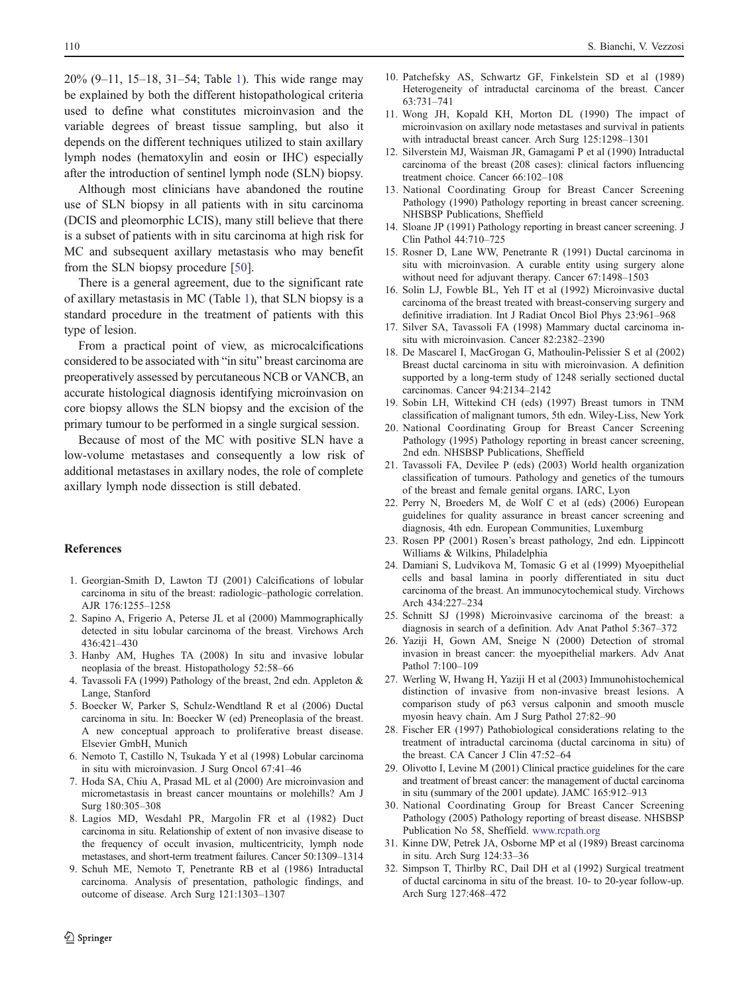<span id="page-5-0"></span>20% (9–11, 15–18, 31–54; Table [1](#page-4-0)). This wide range may be explained by both the different histopathological criteria used to define what constitutes microinvasion and the variable degrees of breast tissue sampling, but also it depends on the different techniques utilized to stain axillary lymph nodes (hematoxylin and eosin or IHC) especially after the introduction of sentinel lymph node (SLN) biopsy.

Although most clinicians have abandoned the routine use of SLN biopsy in all patients with in situ carcinoma (DCIS and pleomorphic LCIS), many still believe that there is a subset of patients with in situ carcinoma at high risk for MC and subsequent axillary metastasis who may benefit from the SLN biopsy procedure [[50\]](#page-6-0).

There is a general agreement, due to the significant rate of axillary metastasis in MC (Table [1](#page-4-0)), that SLN biopsy is a standard procedure in the treatment of patients with this type of lesion.

From a practical point of view, as microcalcifications considered to be associated with "in situ" breast carcinoma are preoperatively assessed by percutaneous NCB or VANCB, an accurate histological diagnosis identifying microinvasion on core biopsy allows the SLN biopsy and the excision of the primary tumour to be performed in a single surgical session.

Because of most of the MC with positive SLN have a low-volume metastases and consequently a low risk of additional metastases in axillary nodes, the role of complete axillary lymph node dissection is still debated.

#### References

- 1. Georgian-Smith D, Lawton TJ (2001) Calcifications of lobular carcinoma in situ of the breast: radiologic–pathologic correlation. AJR 176:1255–1258
- 2. Sapino A, Frigerio A, Peterse JL et al (2000) Mammographically detected in situ lobular carcinoma of the breast. Virchows Arch 436:421–430
- 3. Hanby AM, Hughes TA (2008) In situ and invasive lobular neoplasia of the breast. Histopathology 52:58–66
- 4. Tavassoli FA (1999) Pathology of the breast, 2nd edn. Appleton & Lange, Stanford
- 5. Boecker W, Parker S, Schulz-Wendtland R et al (2006) Ductal carcinoma in situ. In: Boecker W (ed) Preneoplasia of the breast. A new conceptual approach to proliferative breast disease. Elsevier GmbH, Munich
- 6. Nemoto T, Castillo N, Tsukada Y et al (1998) Lobular carcinoma in situ with microinvasion. J Surg Oncol 67:41–46
- 7. Hoda SA, Chiu A, Prasad ML et al (2000) Are microinvasion and micrometastasis in breast cancer mountains or molehills? Am J Surg 180:305–308
- 8. Lagios MD, Wesdahl PR, Margolin FR et al (1982) Duct carcinoma in situ. Relationship of extent of non invasive disease to the frequency of occult invasion, multicentricity, lymph node metastases, and short-term treatment failures. Cancer 50:1309–1314
- 9. Schuh ME, Nemoto T, Penetrante RB et al (1986) Intraductal carcinoma. Analysis of presentation, pathologic findings, and outcome of disease. Arch Surg 121:1303–1307
- 10. Patchefsky AS, Schwartz GF, Finkelstein SD et al (1989) Heterogeneity of intraductal carcinoma of the breast. Cancer 63:731–741
- 11. Wong JH, Kopald KH, Morton DL (1990) The impact of microinvasion on axillary node metastases and survival in patients with intraductal breast cancer. Arch Surg 125:1298–1301
- 12. Silverstein MJ, Waisman JR, Gamagami P et al (1990) Intraductal carcinoma of the breast (208 cases): clinical factors influencing treatment choice. Cancer 66:102–108
- 13. National Coordinating Group for Breast Cancer Screening Pathology (1990) Pathology reporting in breast cancer screening. NHSBSP Publications, Sheffield
- 14. Sloane JP (1991) Pathology reporting in breast cancer screening. J Clin Pathol 44:710–725
- 15. Rosner D, Lane WW, Penetrante R (1991) Ductal carcinoma in situ with microinvasion. A curable entity using surgery alone without need for adjuvant therapy. Cancer 67:1498–1503
- 16. Solin LJ, Fowble BL, Yeh IT et al (1992) Microinvasive ductal carcinoma of the breast treated with breast-conserving surgery and definitive irradiation. Int J Radiat Oncol Biol Phys 23:961–968
- 17. Silver SA, Tavassoli FA (1998) Mammary ductal carcinoma insitu with microinvasion. Cancer 82:2382–2390
- 18. De Mascarel I, MacGrogan G, Mathoulin-Pelissier S et al (2002) Breast ductal carcinoma in situ with microinvasion. A definition supported by a long-term study of 1248 serially sectioned ductal carcinomas. Cancer 94:2134–2142
- 19. Sobin LH, Wittekind CH (eds) (1997) Breast tumors in TNM classification of malignant tumors, 5th edn. Wiley-Liss, New York
- 20. National Coordinating Group for Breast Cancer Screening Pathology (1995) Pathology reporting in breast cancer screening, 2nd edn. NHSBSP Publications, Sheffield
- 21. Tavassoli FA, Devilee P (eds) (2003) World health organization classification of tumours. Pathology and genetics of the tumours of the breast and female genital organs. IARC, Lyon
- 22. Perry N, Broeders M, de Wolf C et al (eds) (2006) European guidelines for quality assurance in breast cancer screening and diagnosis, 4th edn. European Communities, Luxemburg
- 23. Rosen PP (2001) Rosen's breast pathology, 2nd edn. Lippincott Williams & Wilkins, Philadelphia
- 24. Damiani S, Ludvikova M, Tomasic G et al (1999) Myoepithelial cells and basal lamina in poorly differentiated in situ duct carcinoma of the breast. An immunocytochemical study. Virchows Arch 434:227–234
- 25. Schnitt SJ (1998) Microinvasive carcinoma of the breast: a diagnosis in search of a definition. Adv Anat Pathol 5:367–372
- 26. Yaziji H, Gown AM, Sneige N (2000) Detection of stromal invasion in breast cancer: the myoepithelial markers. Adv Anat Pathol 7:100–109
- 27. Werling W, Hwang H, Yaziji H et al (2003) Immunohistochemical distinction of invasive from non-invasive breast lesions. A comparison study of p63 versus calponin and smooth muscle myosin heavy chain. Am J Surg Pathol 27:82–90
- 28. Fischer ER (1997) Pathobiological considerations relating to the treatment of intraductal carcinoma (ductal carcinoma in situ) of the breast. CA Cancer J Clin 47:52–64
- 29. Olivotto I, Levine M (2001) Clinical practice guidelines for the care and treatment of breast cancer: the management of ductal carcinoma in situ (summary of the 2001 update). JAMC 165:912–913
- 30. National Coordinating Group for Breast Cancer Screening Pathology (2005) Pathology reporting of breast disease. NHSBSP Publication No 58, Sheffield. www.rcpath.org
- 31. Kinne DW, Petrek JA, Osborne MP et al (1989) Breast carcinoma in situ. Arch Surg 124:33–36
- 32. Simpson T, Thirlby RC, Dail DH et al (1992) Surgical treatment of ductal carcinoma in situ of the breast. 10- to 20-year follow-up. Arch Surg 127:468–472